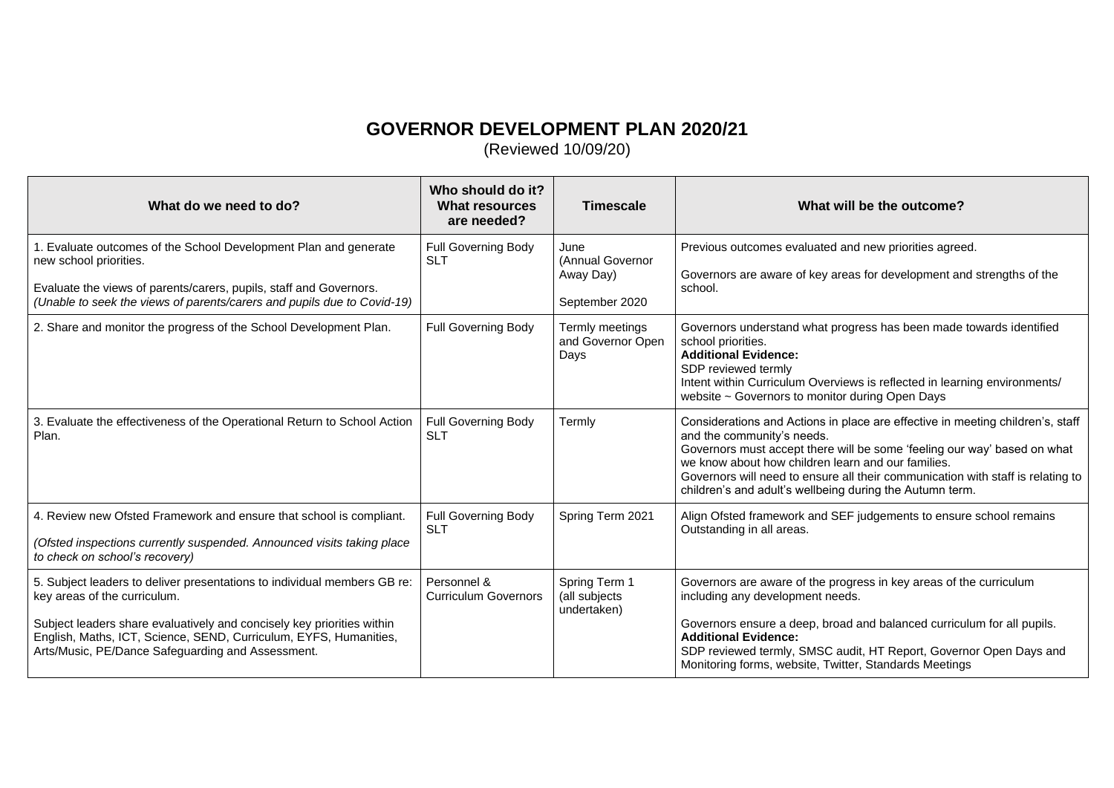## **GOVERNOR DEVELOPMENT PLAN 2020/21**

(Reviewed 10/09/20)

| What do we need to do?                                                                                                                                                                                                                                                                                       | Who should do it?<br>What resources<br>are needed? | <b>Timescale</b>                                        | What will be the outcome?                                                                                                                                                                                                                                                                                                                                                                     |
|--------------------------------------------------------------------------------------------------------------------------------------------------------------------------------------------------------------------------------------------------------------------------------------------------------------|----------------------------------------------------|---------------------------------------------------------|-----------------------------------------------------------------------------------------------------------------------------------------------------------------------------------------------------------------------------------------------------------------------------------------------------------------------------------------------------------------------------------------------|
| 1. Evaluate outcomes of the School Development Plan and generate<br>new school priorities.<br>Evaluate the views of parents/carers, pupils, staff and Governors.<br>(Unable to seek the views of parents/carers and pupils due to Covid-19)                                                                  | <b>Full Governing Body</b><br><b>SLT</b>           | June<br>(Annual Governor<br>Away Day)<br>September 2020 | Previous outcomes evaluated and new priorities agreed.<br>Governors are aware of key areas for development and strengths of the<br>school.                                                                                                                                                                                                                                                    |
| 2. Share and monitor the progress of the School Development Plan.                                                                                                                                                                                                                                            | <b>Full Governing Body</b>                         | Termly meetings<br>and Governor Open<br>Days            | Governors understand what progress has been made towards identified<br>school priorities.<br><b>Additional Evidence:</b><br>SDP reviewed termly<br>Intent within Curriculum Overviews is reflected in learning environments/<br>website ~ Governors to monitor during Open Days                                                                                                               |
| 3. Evaluate the effectiveness of the Operational Return to School Action<br>Plan.                                                                                                                                                                                                                            | <b>Full Governing Body</b><br><b>SLT</b>           | Termly                                                  | Considerations and Actions in place are effective in meeting children's, staff<br>and the community's needs.<br>Governors must accept there will be some 'feeling our way' based on what<br>we know about how children learn and our families.<br>Governors will need to ensure all their communication with staff is relating to<br>children's and adult's wellbeing during the Autumn term. |
| 4. Review new Ofsted Framework and ensure that school is compliant.<br>(Ofsted inspections currently suspended. Announced visits taking place<br>to check on school's recovery)                                                                                                                              | <b>Full Governing Body</b><br><b>SLT</b>           | Spring Term 2021                                        | Align Ofsted framework and SEF judgements to ensure school remains<br>Outstanding in all areas.                                                                                                                                                                                                                                                                                               |
| 5. Subject leaders to deliver presentations to individual members GB re:<br>key areas of the curriculum.<br>Subject leaders share evaluatively and concisely key priorities within<br>English, Maths, ICT, Science, SEND, Curriculum, EYFS, Humanities,<br>Arts/Music, PE/Dance Safeguarding and Assessment. | Personnel &<br><b>Curriculum Governors</b>         | Spring Term 1<br>(all subjects<br>undertaken)           | Governors are aware of the progress in key areas of the curriculum<br>including any development needs.<br>Governors ensure a deep, broad and balanced curriculum for all pupils.<br><b>Additional Evidence:</b><br>SDP reviewed termly, SMSC audit, HT Report, Governor Open Days and<br>Monitoring forms, website, Twitter, Standards Meetings                                               |